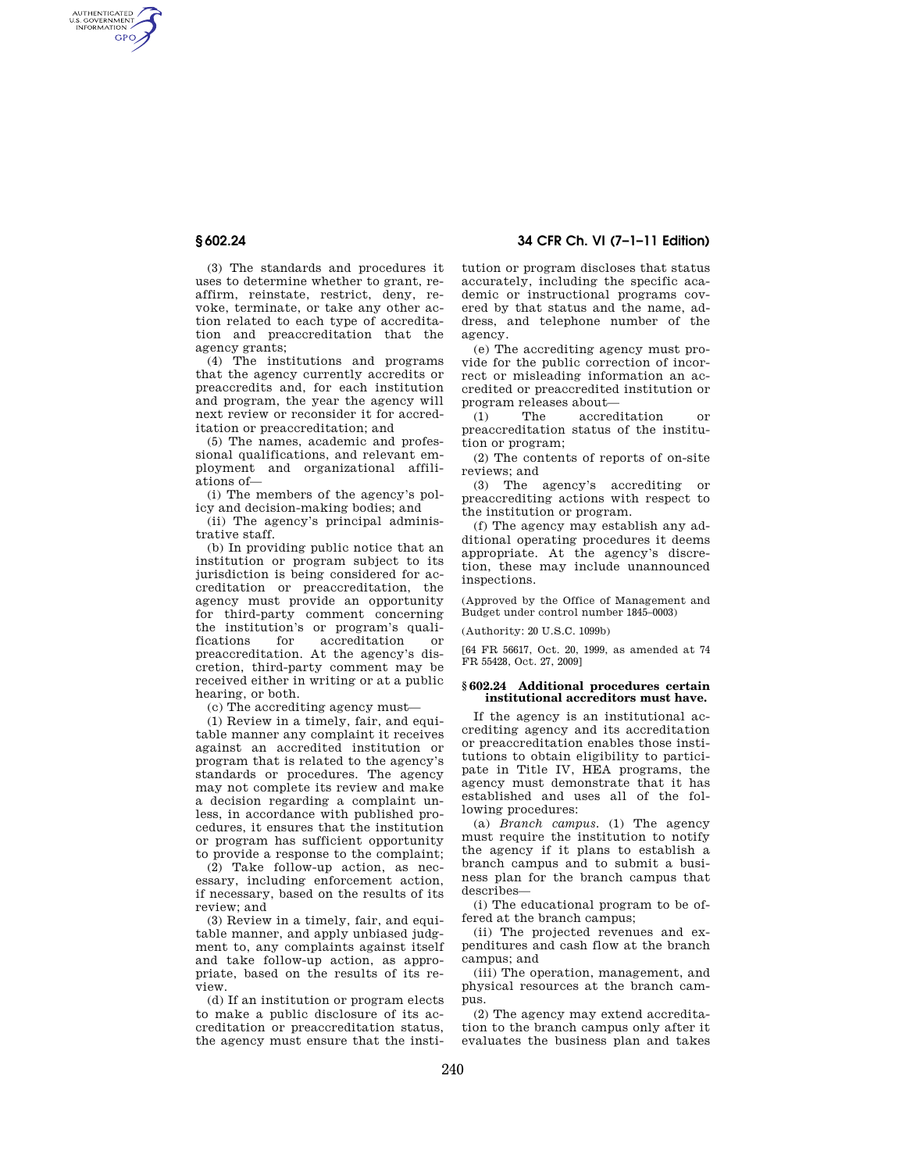AUTHENTICATED<br>U.S. GOVERNMENT<br>INFORMATION **GPO** 

> (3) The standards and procedures it uses to determine whether to grant, reaffirm, reinstate, restrict, deny, revoke, terminate, or take any other action related to each type of accreditation and preaccreditation that the agency grants;

(4) The institutions and programs that the agency currently accredits or preaccredits and, for each institution and program, the year the agency will next review or reconsider it for accreditation or preaccreditation; and

(5) The names, academic and professional qualifications, and relevant employment and organizational affiliations of—

(i) The members of the agency's policy and decision-making bodies; and

(ii) The agency's principal administrative staff.

(b) In providing public notice that an institution or program subject to its jurisdiction is being considered for accreditation or preaccreditation, the agency must provide an opportunity for third-party comment concerning the institution's or program's qualiaccreditation or preaccreditation. At the agency's discretion, third-party comment may be received either in writing or at a public hearing, or both.

(c) The accrediting agency must—

(1) Review in a timely, fair, and equitable manner any complaint it receives against an accredited institution or program that is related to the agency's standards or procedures. The agency may not complete its review and make a decision regarding a complaint unless, in accordance with published procedures, it ensures that the institution or program has sufficient opportunity to provide a response to the complaint;

(2) Take follow-up action, as necessary, including enforcement action, if necessary, based on the results of its review; and

(3) Review in a timely, fair, and equitable manner, and apply unbiased judgment to, any complaints against itself and take follow-up action, as appropriate, based on the results of its review.

(d) If an institution or program elects to make a public disclosure of its accreditation or preaccreditation status, the agency must ensure that the insti-

**§ 602.24 34 CFR Ch. VI (7–1–11 Edition)** 

tution or program discloses that status accurately, including the specific academic or instructional programs covered by that status and the name, address, and telephone number of the agency.

(e) The accrediting agency must provide for the public correction of incorrect or misleading information an accredited or preaccredited institution or program releases about—

(1) The accreditation or preaccreditation status of the institution or program;

(2) The contents of reports of on-site reviews; and

(3) The agency's accrediting or preaccrediting actions with respect to the institution or program.

(f) The agency may establish any additional operating procedures it deems appropriate. At the agency's discretion, these may include unannounced inspections.

(Approved by the Office of Management and Budget under control number 1845–0003)

(Authority: 20 U.S.C. 1099b)

[64 FR 56617, Oct. 20, 1999, as amended at 74 FR 55428, Oct. 27, 2009]

## **§ 602.24 Additional procedures certain institutional accreditors must have.**

If the agency is an institutional accrediting agency and its accreditation or preaccreditation enables those institutions to obtain eligibility to participate in Title IV, HEA programs, the agency must demonstrate that it has established and uses all of the following procedures:

(a) *Branch campus.* (1) The agency must require the institution to notify the agency if it plans to establish a branch campus and to submit a business plan for the branch campus that describes—

(i) The educational program to be offered at the branch campus;

(ii) The projected revenues and expenditures and cash flow at the branch campus; and

(iii) The operation, management, and physical resources at the branch campus.

(2) The agency may extend accreditation to the branch campus only after it evaluates the business plan and takes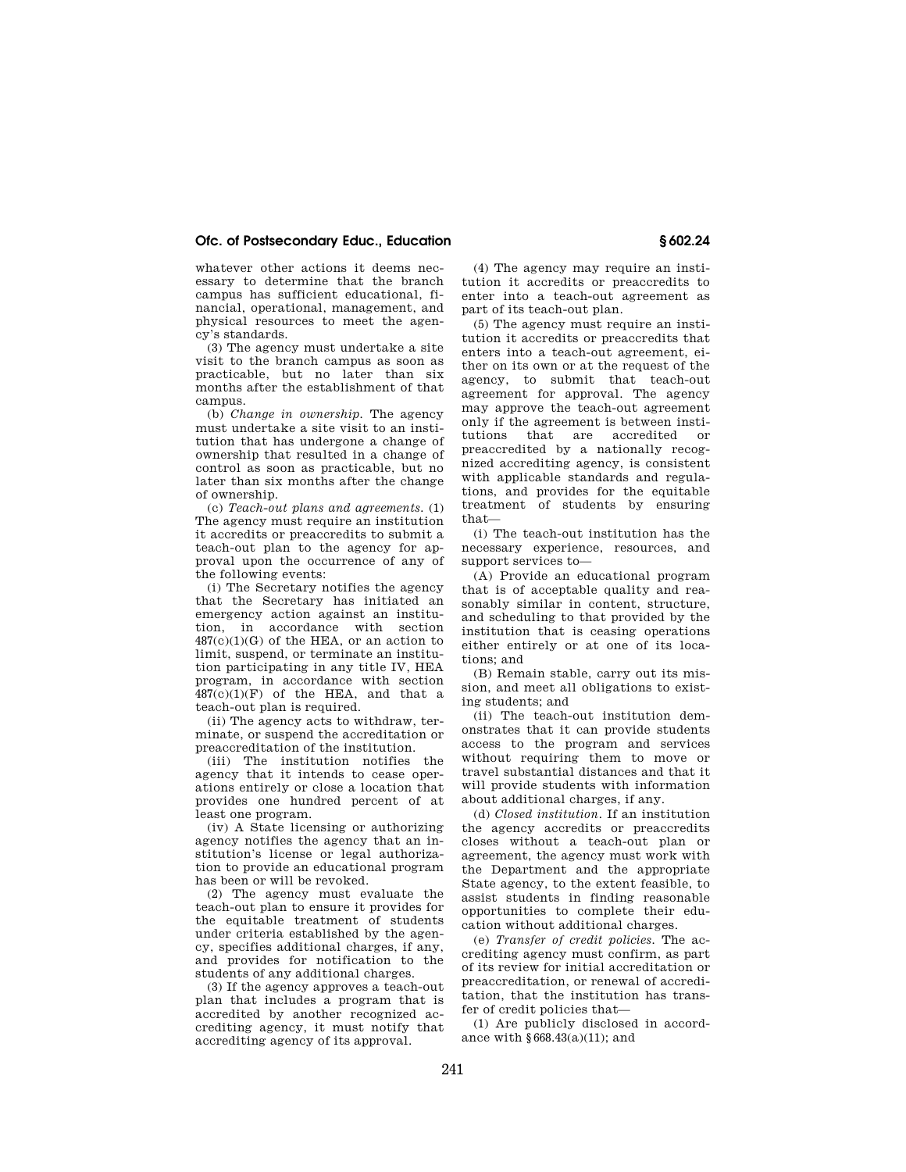## **Ofc. of Postsecondary Educ., Education § 602.24**

whatever other actions it deems necessary to determine that the branch campus has sufficient educational, financial, operational, management, and physical resources to meet the agency's standards.

(3) The agency must undertake a site visit to the branch campus as soon as practicable, but no later than six months after the establishment of that campus.

(b) *Change in ownership.* The agency must undertake a site visit to an institution that has undergone a change of ownership that resulted in a change of control as soon as practicable, but no later than six months after the change of ownership.

(c) *Teach-out plans and agreements.* (1) The agency must require an institution it accredits or preaccredits to submit a teach-out plan to the agency for approval upon the occurrence of any of the following events:

(i) The Secretary notifies the agency that the Secretary has initiated an emergency action against an institution, in accordance with section  $487(c)(1)(G)$  of the HEA, or an action to limit, suspend, or terminate an institution participating in any title IV, HEA program, in accordance with section  $487(c)(1)(F)$  of the HEA, and that a teach-out plan is required.

(ii) The agency acts to withdraw, terminate, or suspend the accreditation or preaccreditation of the institution.

(iii) The institution notifies the agency that it intends to cease operations entirely or close a location that provides one hundred percent of at .<br>least one program.

(iv) A State licensing or authorizing agency notifies the agency that an institution's license or legal authorization to provide an educational program has been or will be revoked.

(2) The agency must evaluate the teach-out plan to ensure it provides for the equitable treatment of students under criteria established by the agency, specifies additional charges, if any, and provides for notification to the students of any additional charges.

(3) If the agency approves a teach-out plan that includes a program that is accredited by another recognized accrediting agency, it must notify that accrediting agency of its approval.

(4) The agency may require an institution it accredits or preaccredits to enter into a teach-out agreement as part of its teach-out plan.

(5) The agency must require an institution it accredits or preaccredits that enters into a teach-out agreement, either on its own or at the request of the agency, to submit that teach-out agreement for approval. The agency may approve the teach-out agreement only if the agreement is between institutions that are accredited or preaccredited by a nationally recognized accrediting agency, is consistent with applicable standards and regulations, and provides for the equitable treatment of students by ensuring that—

(i) The teach-out institution has the necessary experience, resources, and support services to—

(A) Provide an educational program that is of acceptable quality and reasonably similar in content, structure, and scheduling to that provided by the institution that is ceasing operations either entirely or at one of its locations; and

(B) Remain stable, carry out its mission, and meet all obligations to existing students; and

(ii) The teach-out institution demonstrates that it can provide students access to the program and services without requiring them to move or travel substantial distances and that it will provide students with information about additional charges, if any.

(d) *Closed institution.* If an institution the agency accredits or preaccredits closes without a teach-out plan or agreement, the agency must work with the Department and the appropriate State agency, to the extent feasible, to assist students in finding reasonable opportunities to complete their education without additional charges.

(e) *Transfer of credit policies.* The accrediting agency must confirm, as part of its review for initial accreditation or preaccreditation, or renewal of accreditation, that the institution has transfer of credit policies that—

(1) Are publicly disclosed in accordance with §668.43(a)(11); and